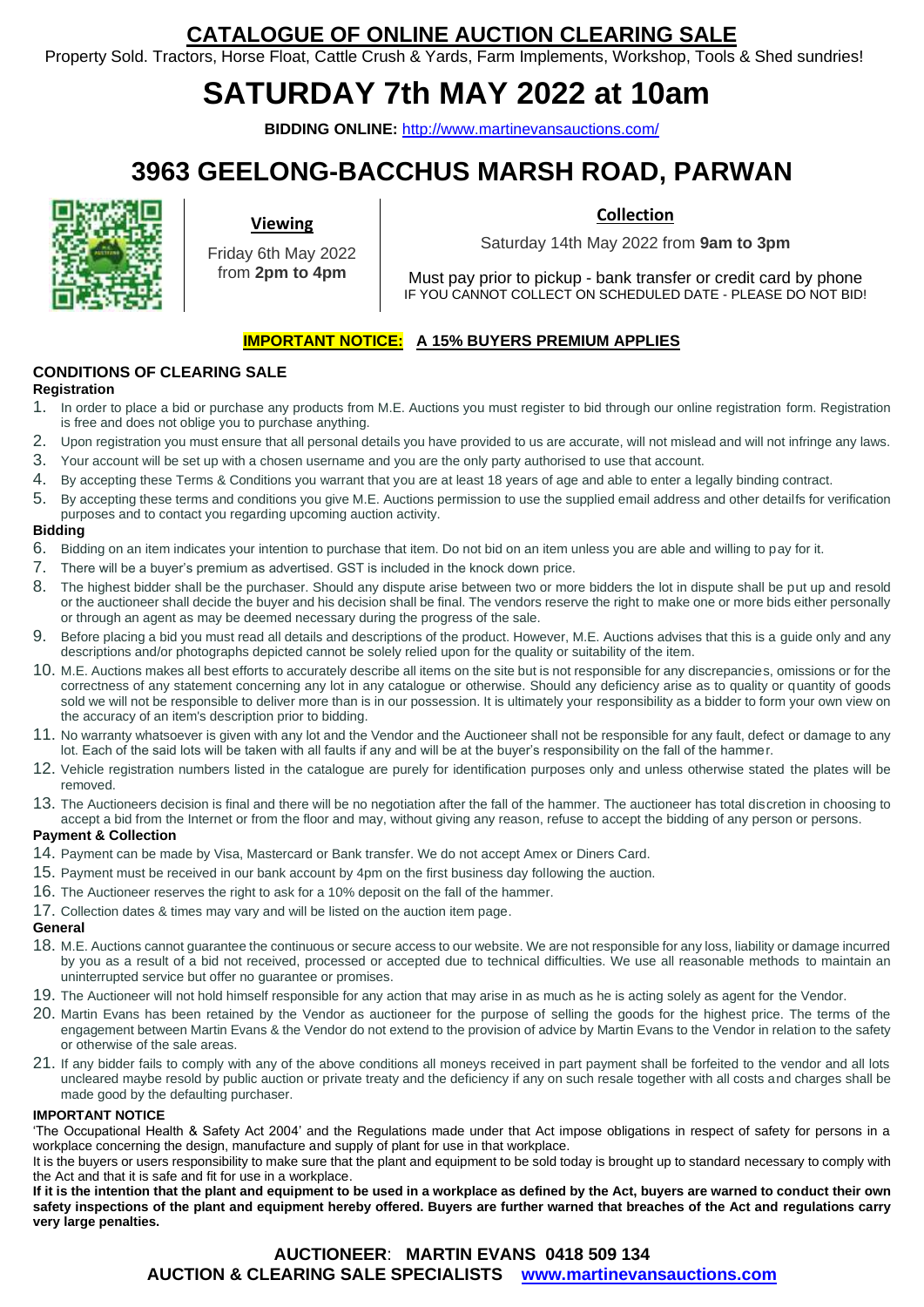## **CATALOGUE OF ONLINE AUCTION CLEARING SALE**

Property Sold. Tractors, Horse Float, Cattle Crush & Yards, Farm Implements, Workshop, Tools & Shed sundries!

# **SATURDAY 7th MAY 2022 at 10am**

**BIDDING ONLINE:** <http://www.martinevansauctions.com/>

## **3963 GEELONG-BACCHUS MARSH ROAD, PARWAN**



**Viewing**

Friday 6th May 2022 from **2pm to 4pm**

**Collection**

Saturday 14th May 2022 from **9am to 3pm**

Must pay prior to pickup - bank transfer or credit card by phone IF YOU CANNOT COLLECT ON SCHEDULED DATE - PLEASE DO NOT BID!

### **IMPORTANT NOTICE: A 15% BUYERS PREMIUM APPLIES**

#### **CONDITIONS OF CLEARING SALE**

#### **Registration**

- 1. In order to place a bid or purchase any products from M.E. Auctions you must register to bid through our online registration form. Registration is free and does not oblige you to purchase anything.
- 2. Upon registration you must ensure that all personal details you have provided to us are accurate, will not mislead and will not infringe any laws.
- 3. Your account will be set up with a chosen username and you are the only party authorised to use that account.
- 4. By accepting these Terms & Conditions you warrant that you are at least 18 years of age and able to enter a legally binding contract.
- 5. By accepting these terms and conditions you give M.E. Auctions permission to use the supplied email address and other detailfs for verification purposes and to contact you regarding upcoming auction activity.

#### **Bidding**

- 6. Bidding on an item indicates your intention to purchase that item. Do not bid on an item unless you are able and willing to pay for it.
- 7. There will be a buyer's premium as advertised. GST is included in the knock down price.
- 8. The highest bidder shall be the purchaser. Should any dispute arise between two or more bidders the lot in dispute shall be put up and resold or the auctioneer shall decide the buyer and his decision shall be final. The vendors reserve the right to make one or more bids either personally or through an agent as may be deemed necessary during the progress of the sale.
- 9. Before placing a bid you must read all details and descriptions of the product. However, M.E. Auctions advises that this is a guide only and any descriptions and/or photographs depicted cannot be solely relied upon for the quality or suitability of the item.
- 10. M.E. Auctions makes all best efforts to accurately describe all items on the site but is not responsible for any discrepancies, omissions or for the correctness of any statement concerning any lot in any catalogue or otherwise. Should any deficiency arise as to quality or quantity of goods sold we will not be responsible to deliver more than is in our possession. It is ultimately your responsibility as a bidder to form your own view on the accuracy of an item's description prior to bidding.
- 11. No warranty whatsoever is given with any lot and the Vendor and the Auctioneer shall not be responsible for any fault, defect or damage to any lot. Each of the said lots will be taken with all faults if any and will be at the buyer's responsibility on the fall of the hammer.
- 12. Vehicle registration numbers listed in the catalogue are purely for identification purposes only and unless otherwise stated the plates will be removed.
- 13. The Auctioneers decision is final and there will be no negotiation after the fall of the hammer. The auctioneer has total discretion in choosing to accept a bid from the Internet or from the floor and may, without giving any reason, refuse to accept the bidding of any person or persons.

#### **Payment & Collection**

- 14. Payment can be made by Visa, Mastercard or Bank transfer. We do not accept Amex or Diners Card.
- 15. Payment must be received in our bank account by 4pm on the first business day following the auction.
- 16. The Auctioneer reserves the right to ask for a 10% deposit on the fall of the hammer.
- 17. Collection dates & times may vary and will be listed on the auction item page.

#### **General**

- 18. M.E. Auctions cannot guarantee the continuous or secure access to our website. We are not responsible for any loss, liability or damage incurred by you as a result of a bid not received, processed or accepted due to technical difficulties. We use all reasonable methods to maintain an uninterrupted service but offer no guarantee or promises.
- 19. The Auctioneer will not hold himself responsible for any action that may arise in as much as he is acting solely as agent for the Vendor.
- 20. Martin Evans has been retained by the Vendor as auctioneer for the purpose of selling the goods for the highest price. The terms of the engagement between Martin Evans & the Vendor do not extend to the provision of advice by Martin Evans to the Vendor in relation to the safety or otherwise of the sale areas.
- 21. If any bidder fails to comply with any of the above conditions all moneys received in part payment shall be forfeited to the vendor and all lots uncleared maybe resold by public auction or private treaty and the deficiency if any on such resale together with all costs and charges shall be made good by the defaulting purchaser.

#### **IMPORTANT NOTICE**

'The Occupational Health & Safety Act 2004' and the Regulations made under that Act impose obligations in respect of safety for persons in a workplace concerning the design, manufacture and supply of plant for use in that workplace.

It is the buyers or users responsibility to make sure that the plant and equipment to be sold today is brought up to standard necessary to comply with the Act and that it is safe and fit for use in a workplace.

**If it is the intention that the plant and equipment to be used in a workplace as defined by the Act, buyers are warned to conduct their own safety inspections of the plant and equipment hereby offered. Buyers are further warned that breaches of the Act and regulations carry very large penalties.** 

### **AUCTIONEER**: **MARTIN EVANS 0418 509 134 AUCTION & CLEARING SALE SPECIALISTS [www.martinevansauctions.com](http://www.martinevansauctions.com/)**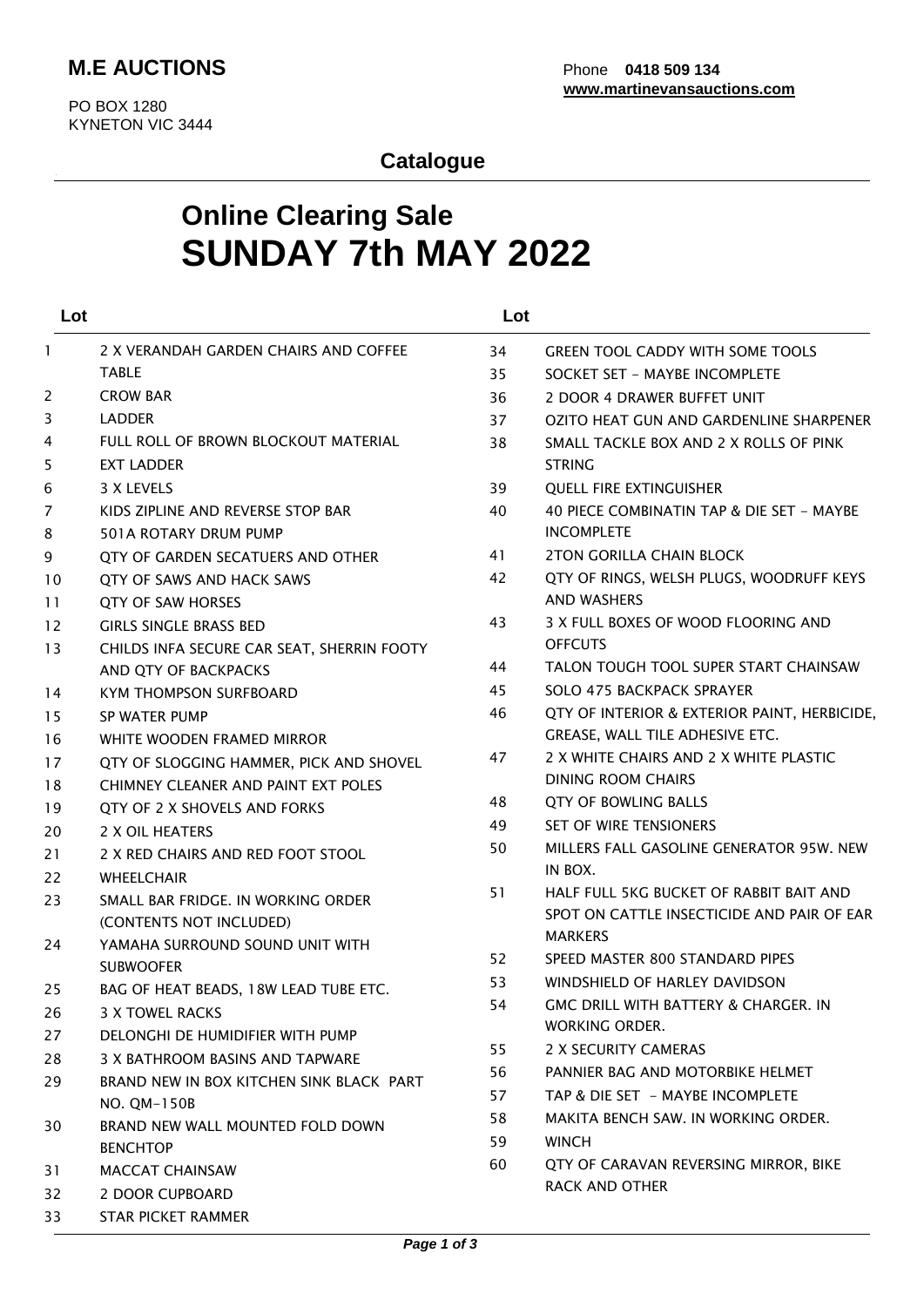## **Catalogue**

## **Online Clearing Sale SUNDAY 7th MAY 2022**

| Lot          |                                            | Lot |                                              |
|--------------|--------------------------------------------|-----|----------------------------------------------|
| $\mathbf{1}$ | 2 X VERANDAH GARDEN CHAIRS AND COFFEE      | 34  | <b>GREEN TOOL CADDY WITH SOME TOOLS</b>      |
|              | <b>TABLE</b>                               | 35  | SOCKET SET - MAYBE INCOMPLETE                |
| 2            | <b>CROW BAR</b>                            | 36  | 2 DOOR 4 DRAWER BUFFET UNIT                  |
| 3            | <b>LADDER</b>                              | 37  | OZITO HEAT GUN AND GARDENLINE SHARPENER      |
| 4            | FULL ROLL OF BROWN BLOCKOUT MATERIAL       | 38  | SMALL TACKLE BOX AND 2 X ROLLS OF PINK       |
| 5            | <b>EXT LADDER</b>                          |     | <b>STRING</b>                                |
| 6            | 3 X LEVELS                                 | 39  | <b>QUELL FIRE EXTINGUISHER</b>               |
| 7            | KIDS ZIPLINE AND REVERSE STOP BAR          | 40  | 40 PIECE COMBINATIN TAP & DIE SET - MAYBE    |
| 8            | 501A ROTARY DRUM PUMP                      |     | <b>INCOMPLETE</b>                            |
| 9            | OTY OF GARDEN SECATUERS AND OTHER          | 41  | <b>2TON GORILLA CHAIN BLOCK</b>              |
| 10           | QTY OF SAWS AND HACK SAWS                  | 42  | QTY OF RINGS, WELSH PLUGS, WOODRUFF KEYS     |
| 11           | <b>QTY OF SAW HORSES</b>                   |     | <b>AND WASHERS</b>                           |
| 12           | <b>GIRLS SINGLE BRASS BED</b>              | 43  | 3 X FULL BOXES OF WOOD FLOORING AND          |
| 13           | CHILDS INFA SECURE CAR SEAT, SHERRIN FOOTY |     | <b>OFFCUTS</b>                               |
|              | AND QTY OF BACKPACKS                       | 44  | TALON TOUGH TOOL SUPER START CHAINSAW        |
| 14           | <b>KYM THOMPSON SURFBOARD</b>              | 45  | SOLO 475 BACKPACK SPRAYER                    |
| 15           | <b>SP WATER PUMP</b>                       | 46  | QTY OF INTERIOR & EXTERIOR PAINT, HERBICIDE, |
| 16           | WHITE WOODEN FRAMED MIRROR                 |     | GREASE, WALL TILE ADHESIVE ETC.              |
| 17           | QTY OF SLOGGING HAMMER, PICK AND SHOVEL    | 47  | 2 X WHITE CHAIRS AND 2 X WHITE PLASTIC       |
| 18           | CHIMNEY CLEANER AND PAINT EXT POLES        |     | <b>DINING ROOM CHAIRS</b>                    |
| 19           | QTY OF 2 X SHOVELS AND FORKS               | 48  | <b>QTY OF BOWLING BALLS</b>                  |
| 20           | 2 X OIL HEATERS                            | 49  | <b>SET OF WIRE TENSIONERS</b>                |
| 21           | 2 X RED CHAIRS AND RED FOOT STOOL          | 50  | MILLERS FALL GASOLINE GENERATOR 95W. NEW     |
| 22           | <b>WHEELCHAIR</b>                          |     | IN BOX.                                      |
| 23           | SMALL BAR FRIDGE. IN WORKING ORDER         | 51  | HALF FULL 5KG BUCKET OF RABBIT BAIT AND      |
|              | (CONTENTS NOT INCLUDED)                    |     | SPOT ON CATTLE INSECTICIDE AND PAIR OF EAR   |
| 24           | YAMAHA SURROUND SOUND UNIT WITH            |     | <b>MARKERS</b>                               |
|              | <b>SUBWOOFER</b>                           | 52  | SPEED MASTER 800 STANDARD PIPES              |
| 25           | BAG OF HEAT BEADS, 18W LEAD TUBE ETC.      | 53  | WINDSHIELD OF HARLEY DAVIDSON                |
| 26           | 3 X TOWEL RACKS                            | 54  | GMC DRILL WITH BATTERY & CHARGER. IN         |
| 27           | DELONGHI DE HUMIDIFIER WITH PUMP           |     | <b>WORKING ORDER.</b>                        |
| 28           | 3 X BATHROOM BASINS AND TAPWARE            | 55  | 2 X SECURITY CAMERAS                         |
| 29           | BRAND NEW IN BOX KITCHEN SINK BLACK PART   | 56  | PANNIER BAG AND MOTORBIKE HELMET             |
|              | NO. OM-150B                                | 57  | TAP & DIE SET - MAYBE INCOMPLETE             |
| 30           | BRAND NEW WALL MOUNTED FOLD DOWN           | 58  | MAKITA BENCH SAW. IN WORKING ORDER.          |
|              | <b>BENCHTOP</b>                            | 59  | <b>WINCH</b>                                 |
| 31           | <b>MACCAT CHAINSAW</b>                     | 60  | QTY OF CARAVAN REVERSING MIRROR, BIKE        |
| 32           | 2 DOOR CUPBOARD                            |     | RACK AND OTHER                               |
| 33           | STAR PICKET RAMMER                         |     |                                              |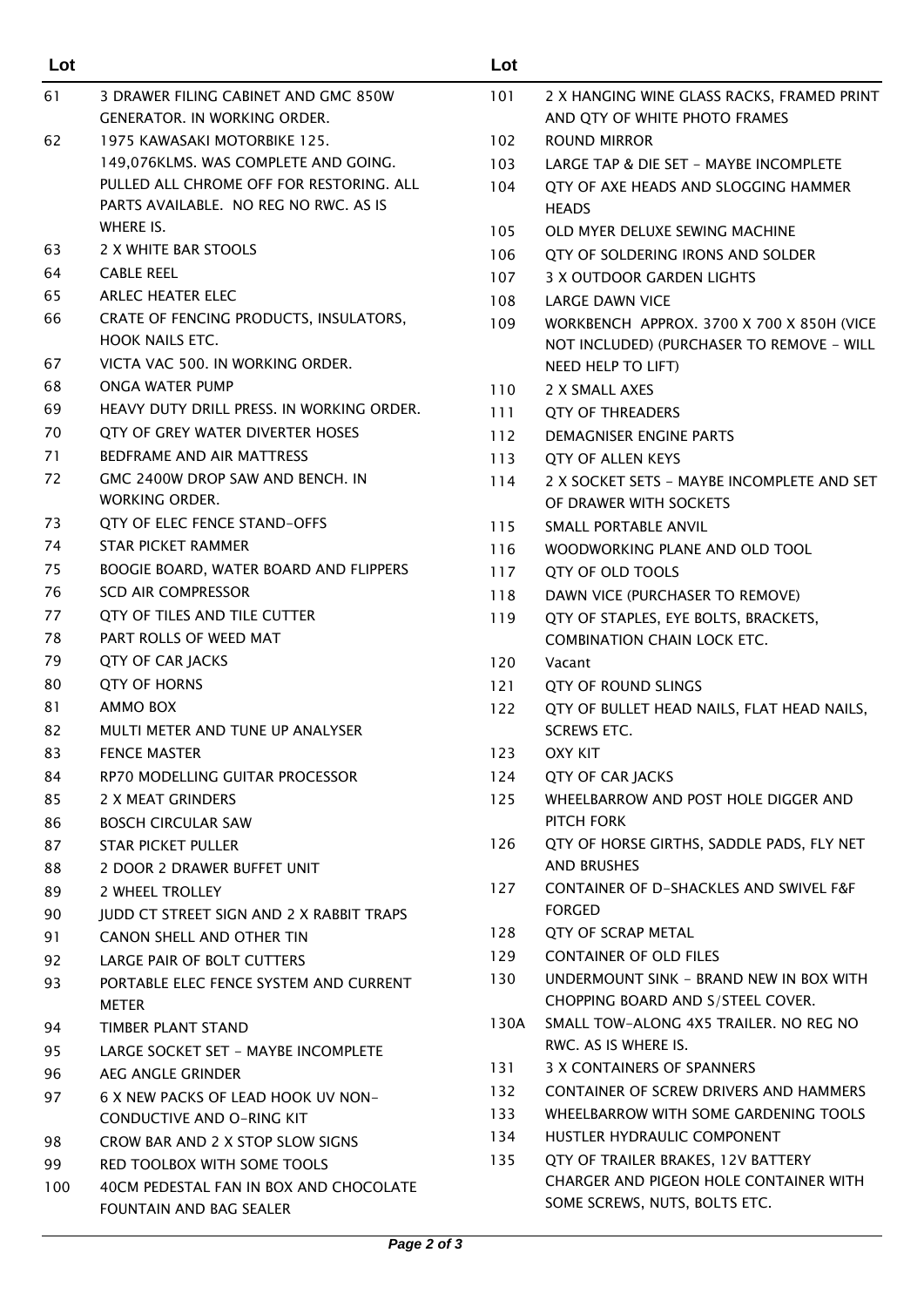| Lot |                                           | Lot  |                                            |
|-----|-------------------------------------------|------|--------------------------------------------|
| 61  | 3 DRAWER FILING CABINET AND GMC 850W      | 101  | 2 X HANGING WINE GLASS RACKS, FRAMED PRINT |
|     | <b>GENERATOR. IN WORKING ORDER.</b>       |      | AND OTY OF WHITE PHOTO FRAMES              |
| 62  | 1975 KAWASAKI MOTORBIKE 125.              | 102  | <b>ROUND MIRROR</b>                        |
|     | 149,076KLMS. WAS COMPLETE AND GOING.      | 103  | LARGE TAP & DIE SET - MAYBE INCOMPLETE     |
|     | PULLED ALL CHROME OFF FOR RESTORING. ALL  | 104  | QTY OF AXE HEADS AND SLOGGING HAMMER       |
|     | PARTS AVAILABLE. NO REG NO RWC. AS IS     |      | <b>HEADS</b>                               |
|     | WHERE IS.                                 | 105  | OLD MYER DELUXE SEWING MACHINE             |
| 63  | 2 X WHITE BAR STOOLS                      | 106  | QTY OF SOLDERING IRONS AND SOLDER          |
| 64  | <b>CABLE REEL</b>                         | 107  | 3 X OUTDOOR GARDEN LIGHTS                  |
| 65  | <b>ARLEC HEATER ELEC</b>                  | 108  | <b>LARGE DAWN VICE</b>                     |
| 66  | CRATE OF FENCING PRODUCTS, INSULATORS,    | 109  | WORKBENCH APPROX. 3700 X 700 X 850H (VICE  |
|     | <b>HOOK NAILS ETC.</b>                    |      | NOT INCLUDED) (PURCHASER TO REMOVE - WILL  |
| 67  | VICTA VAC 500. IN WORKING ORDER.          |      | NEED HELP TO LIFT)                         |
| 68  | ONGA WATER PUMP                           | 110  | 2 X SMALL AXES                             |
| 69  | HEAVY DUTY DRILL PRESS. IN WORKING ORDER. | 111  | <b>QTY OF THREADERS</b>                    |
| 70  | OTY OF GREY WATER DIVERTER HOSES          | 112  | DEMAGNISER ENGINE PARTS                    |
| 71  | BEDFRAME AND AIR MATTRESS                 | 113  | OTY OF ALLEN KEYS                          |
| 72  | GMC 2400W DROP SAW AND BENCH. IN          | 114  | 2 X SOCKET SETS - MAYBE INCOMPLETE AND SET |
|     | WORKING ORDER.                            |      | OF DRAWER WITH SOCKETS                     |
| 73  | QTY OF ELEC FENCE STAND-OFFS              | 115  | SMALL PORTABLE ANVIL                       |
| 74  | <b>STAR PICKET RAMMER</b>                 | 116  | WOODWORKING PLANE AND OLD TOOL             |
| 75  | BOOGIE BOARD, WATER BOARD AND FLIPPERS    | 117  | QTY OF OLD TOOLS                           |
| 76  | <b>SCD AIR COMPRESSOR</b>                 | 118  | DAWN VICE (PURCHASER TO REMOVE)            |
| 77  | QTY OF TILES AND TILE CUTTER              | 119  | QTY OF STAPLES, EYE BOLTS, BRACKETS,       |
| 78  | PART ROLLS OF WEED MAT                    |      | <b>COMBINATION CHAIN LOCK ETC.</b>         |
| 79  | QTY OF CAR JACKS                          | 120  | Vacant                                     |
| 80  | <b>QTY OF HORNS</b>                       | 121  | QTY OF ROUND SLINGS                        |
| 81  | AMMO BOX                                  | 122  | QTY OF BULLET HEAD NAILS, FLAT HEAD NAILS, |
| 82  | MULTI METER AND TUNE UP ANALYSER          |      | <b>SCREWS ETC.</b>                         |
| 83  | <b>FENCE MASTER</b>                       | 123  | OXY KIT                                    |
| 84  | RP70 MODELLING GUITAR PROCESSOR           | 124  | <b>QTY OF CAR JACKS</b>                    |
| 85  | 2 X MEAT GRINDERS                         | 125  | WHEELBARROW AND POST HOLE DIGGER AND       |
| 86  | <b>BOSCH CIRCULAR SAW</b>                 |      | PITCH FORK                                 |
| 87  | <b>STAR PICKET PULLER</b>                 | 126  | QTY OF HORSE GIRTHS, SADDLE PADS, FLY NET  |
| 88  | 2 DOOR 2 DRAWER BUFFET UNIT               |      | AND BRUSHES                                |
| 89  | 2 WHEEL TROLLEY                           | 127  | CONTAINER OF D-SHACKLES AND SWIVEL F&F     |
| 90  | JUDD CT STREET SIGN AND 2 X RABBIT TRAPS  |      | <b>FORGED</b>                              |
| 91  | CANON SHELL AND OTHER TIN                 | 128  | QTY OF SCRAP METAL                         |
| 92  | LARGE PAIR OF BOLT CUTTERS                | 129  | <b>CONTAINER OF OLD FILES</b>              |
| 93  | PORTABLE ELEC FENCE SYSTEM AND CURRENT    | 130  | UNDERMOUNT SINK - BRAND NEW IN BOX WITH    |
|     | <b>METER</b>                              |      | CHOPPING BOARD AND S/STEEL COVER.          |
| 94  | TIMBER PLANT STAND                        | 130A | SMALL TOW-ALONG 4X5 TRAILER. NO REG NO     |
| 95  | LARGE SOCKET SET - MAYBE INCOMPLETE       |      | RWC. AS IS WHERE IS.                       |
| 96  | AEG ANGLE GRINDER                         | 131  | 3 X CONTAINERS OF SPANNERS                 |
| 97  | 6 X NEW PACKS OF LEAD HOOK UV NON-        | 132  | CONTAINER OF SCREW DRIVERS AND HAMMERS     |
|     | <b>CONDUCTIVE AND O-RING KIT</b>          | 133  | WHEELBARROW WITH SOME GARDENING TOOLS      |
| 98  | CROW BAR AND 2 X STOP SLOW SIGNS          | 134  | HUSTLER HYDRAULIC COMPONENT                |
| 99  | RED TOOLBOX WITH SOME TOOLS               | 135  | QTY OF TRAILER BRAKES, 12V BATTERY         |
| 100 | 40CM PEDESTAL FAN IN BOX AND CHOCOLATE    |      | CHARGER AND PIGEON HOLE CONTAINER WITH     |
|     | FOUNTAIN AND BAG SEALER                   |      | SOME SCREWS, NUTS, BOLTS ETC.              |